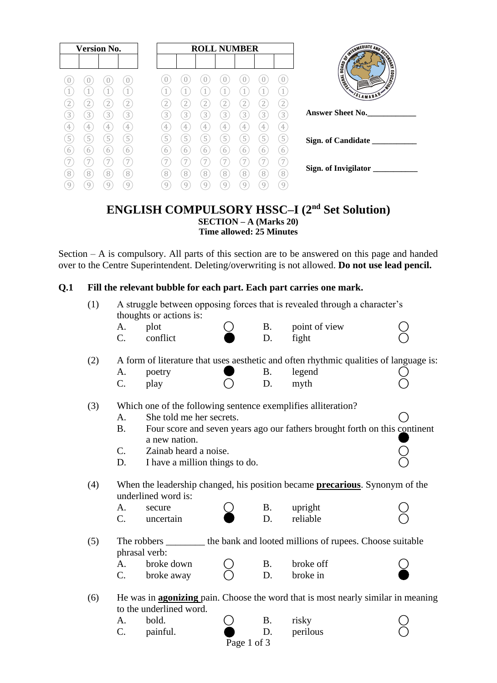| <b>Version No.</b>                                  | <b>ROLL NUMBER</b>                                                                           | TERMEDIATE AND SE<br><b>PONTIN</b>                 |
|-----------------------------------------------------|----------------------------------------------------------------------------------------------|----------------------------------------------------|
| U<br>U<br>U                                         |                                                                                              | <b>BOARD OF</b><br><b>MONTAINS</b><br><b>THERE</b> |
| 1<br>$\boxed{2}$<br>2<br>2                          | $\mathbf{1}$<br>$\mathbf{2}$<br>2<br>2                                                       | VSLAMABAD                                          |
| $\boxed{3}$<br>$\boxed{3}$<br>3<br>3<br>4<br>4<br>4 | 3<br>3<br>3<br>$\left(3\right)$<br>3<br>3<br>$\mathbf{3}$<br>4<br>4<br>4<br>4<br>4<br>4<br>4 | <b>Answer Sheet No.</b>                            |
| $\overline{5}$<br>5<br>5<br>5<br>6<br>6<br>6        | 5<br>$\boxed{5}$<br>5<br>5<br>5<br>5<br>5<br>6<br>6<br>6<br>6<br>6<br>6<br>b                 | Sign. of Candidate                                 |
| 7<br>$\sqrt{8}$<br>8<br>8<br>8                      | 8<br>8<br>8<br>8<br>8<br>8<br>8                                                              | Sign. of Invigilator ___                           |
| 9<br>9<br>9<br>9                                    | 9<br>9<br>9<br>9<br>9<br>g                                                                   |                                                    |

# **ENGLISH COMPULSORY HSSC–I (2nd Set Solution) SECTION – A (Marks 20) Time allowed: 25 Minutes**

Section – A is compulsory. All parts of this section are to be answered on this page and handed over to the Centre Superintendent. Deleting/overwriting is not allowed. **Do not use lead pencil.**

# **Q.1 Fill the relevant bubble for each part. Each part carries one mark.**

| (1) | A struggle between opposing forces that is revealed through a character's<br>thoughts or actions is: |                                                                                     |             |           |               |  |  |  |
|-----|------------------------------------------------------------------------------------------------------|-------------------------------------------------------------------------------------|-------------|-----------|---------------|--|--|--|
|     | А.                                                                                                   | plot                                                                                |             | <b>B.</b> | point of view |  |  |  |
|     | $C_{\cdot}$                                                                                          | conflict                                                                            |             | D.        | fight         |  |  |  |
|     |                                                                                                      |                                                                                     |             |           |               |  |  |  |
| (2) | A form of literature that uses aesthetic and often rhythmic qualities of language is:                |                                                                                     |             |           |               |  |  |  |
|     | A.                                                                                                   | poetry                                                                              |             | <b>B.</b> | legend        |  |  |  |
|     | C.                                                                                                   | play                                                                                |             | D.        | myth          |  |  |  |
| (3) | Which one of the following sentence exemplifies alliteration?                                        |                                                                                     |             |           |               |  |  |  |
|     | A.                                                                                                   | She told me her secrets.                                                            |             |           |               |  |  |  |
|     | <b>B.</b>                                                                                            | Four score and seven years ago our fathers brought forth on this continent          |             |           |               |  |  |  |
|     |                                                                                                      | a new nation.                                                                       |             |           |               |  |  |  |
|     | $\mathcal{C}$ .                                                                                      | Zainab heard a noise.                                                               |             |           |               |  |  |  |
|     | D.                                                                                                   | I have a million things to do.                                                      |             |           |               |  |  |  |
| (4) |                                                                                                      | When the leadership changed, his position became <b>precarious</b> . Synonym of the |             |           |               |  |  |  |
|     |                                                                                                      | underlined word is:                                                                 |             |           |               |  |  |  |
|     | A.                                                                                                   | secure                                                                              |             | <b>B.</b> | upright       |  |  |  |
|     | C.                                                                                                   | uncertain                                                                           |             | D.        | reliable      |  |  |  |
| (5) | The robbers __________ the bank and looted millions of rupees. Choose suitable                       |                                                                                     |             |           |               |  |  |  |
|     |                                                                                                      | phrasal verb:                                                                       |             |           |               |  |  |  |
|     | A.                                                                                                   | broke down                                                                          |             | <b>B.</b> | broke off     |  |  |  |
|     | C.                                                                                                   | broke away                                                                          |             | D.        | broke in      |  |  |  |
| (6) | He was in <b>agonizing</b> pain. Choose the word that is most nearly similar in meaning              |                                                                                     |             |           |               |  |  |  |
|     | to the underlined word.                                                                              |                                                                                     |             |           |               |  |  |  |
|     | А.                                                                                                   | bold.                                                                               |             | <b>B.</b> | risky         |  |  |  |
|     | C.                                                                                                   | painful.                                                                            |             | D.        | perilous      |  |  |  |
|     |                                                                                                      |                                                                                     | Page 1 of 3 |           |               |  |  |  |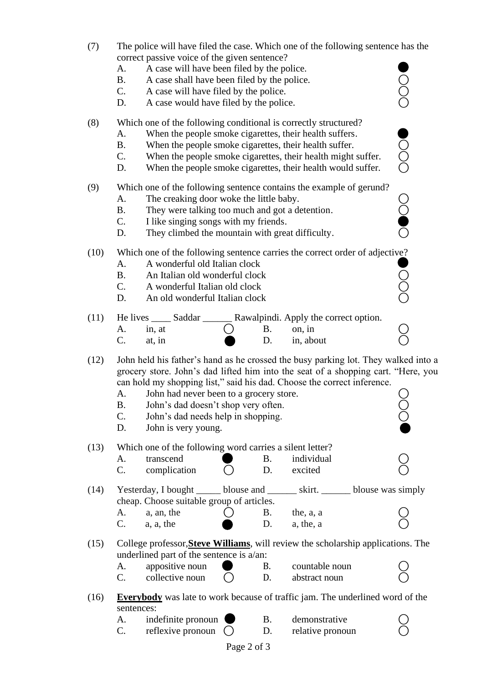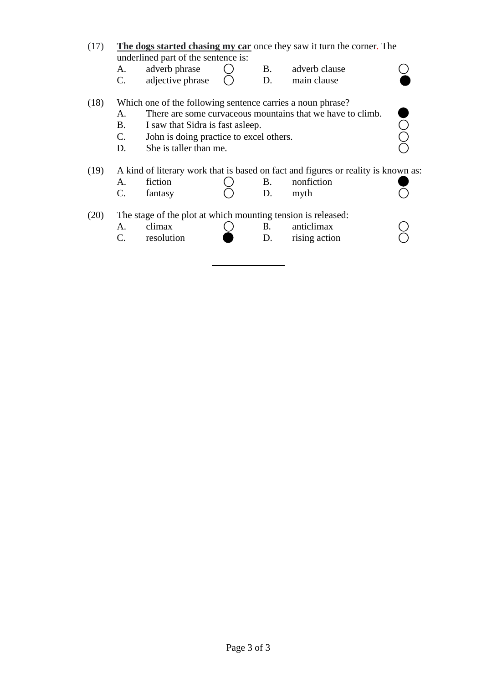- (17) **The dogs started chasing my car** once they saw it turn the corner. The underlined part of the sentence is:
	- A. adverb phrase  $\bigcirc$  B. adverb clause  $\bigcirc$  B. adverb clause  $\bigcirc$
	- adjective phrase  $\bigcirc$  D. main clause

# (18) Which one of the following sentence carries a noun phrase?

- A. There are some curvaceous mountains that we have to climb.
- 
- B. I saw that Sidra is fast asleep.<br>
C. John is doing practice to excel others.<br>
D. She is taller than me. <br>
O C. John is doing practice to excel others.<br>D. She is taller than me.
- She is taller than me.

# (19) A kind of literary work that is based on fact and figures or reality is known as:

- A. fiction  $\bigcirc$  B. nonfiction
- $C.$  fantasy  $C$  D. myth  $C$

(20) The stage of the plot at which mounting tension is released:

- A. climax  $\bigcirc$  B. anticlimax  $\bigcirc$ <br>C. resolution  $\bigcirc$  B. rising action  $\bigcirc$
- C. resolution D. rising action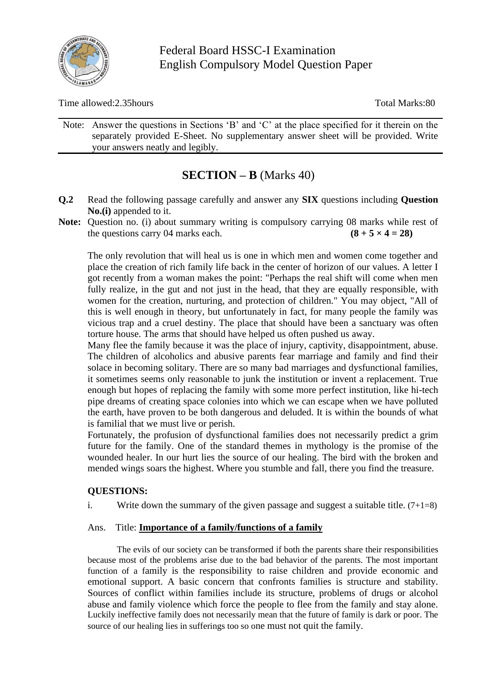

Federal Board HSSC-I Examination English Compulsory Model Question Paper

Time allowed:2.35hours Total Marks:80

Note: Answer the questions in Sections 'B' and 'C' at the place specified for it therein on the separately provided E-Sheet. No supplementary answer sheet will be provided. Write your answers neatly and legibly.

# **SECTION – B** (Marks 40)

- **Q.2** Read the following passage carefully and answer any **SIX** questions including **Question No.(i)** appended to it.
- **Note:** Question no. (i) about summary writing is compulsory carrying 08 marks while rest of the questions carry 04 marks each.  $(8 + 5 \times 4 = 28)$

The only revolution that will heal us is one in which men and women come together and place the creation of rich family life back in the center of horizon of our values. A letter I got recently from a woman makes the point: "Perhaps the real shift will come when men fully realize, in the gut and not just in the head, that they are equally responsible, with women for the creation, nurturing, and protection of children." You may object, "All of this is well enough in theory, but unfortunately in fact, for many people the family was vicious trap and a cruel destiny. The place that should have been a sanctuary was often torture house. The arms that should have helped us often pushed us away.

Many flee the family because it was the place of injury, captivity, disappointment, abuse. The children of alcoholics and abusive parents fear marriage and family and find their solace in becoming solitary. There are so many bad marriages and dysfunctional families, it sometimes seems only reasonable to junk the institution or invent a replacement. True enough but hopes of replacing the family with some more perfect institution, like hi-tech pipe dreams of creating space colonies into which we can escape when we have polluted the earth, have proven to be both dangerous and deluded. It is within the bounds of what is familial that we must live or perish.

Fortunately, the profusion of dysfunctional families does not necessarily predict a grim future for the family. One of the standard themes in mythology is the promise of the wounded healer. In our hurt lies the source of our healing. The bird with the broken and mended wings soars the highest. Where you stumble and fall, there you find the treasure.

# **QUESTIONS:**

i. Write down the summary of the given passage and suggest a suitable title.  $(7+1=8)$ 

#### Ans. Title: **Importance of a family/functions of a family**

 The evils of our society can be transformed if both the parents share their responsibilities because most of the problems arise due to the bad behavior of the parents. The most important function of a family is the responsibility to raise children and provide economic and emotional support. A basic concern that confronts families is structure and stability. Sources of conflict within families include its structure, problems of drugs or alcohol abuse and family violence which force the people to flee from the family and stay alone. Luckily ineffective family does not necessarily mean that the future of family is dark or poor. The source of our healing lies in sufferings too so one must not quit the family.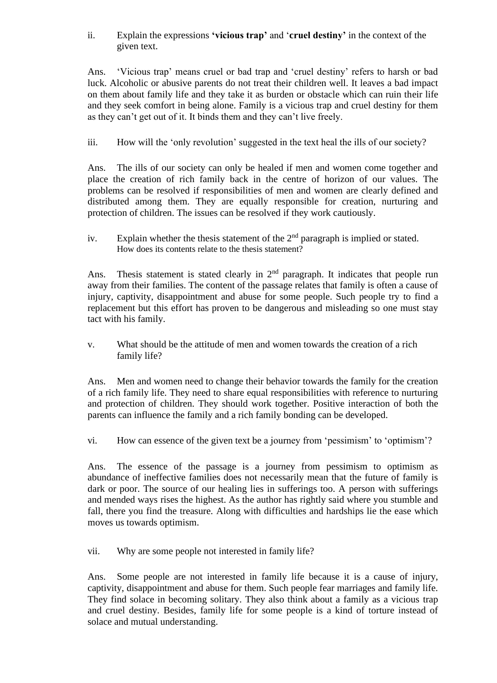ii. Explain the expressions **'vicious trap'** and '**cruel destiny'** in the context of the given text.

Ans. 'Vicious trap' means cruel or bad trap and 'cruel destiny' refers to harsh or bad luck. Alcoholic or abusive parents do not treat their children well. It leaves a bad impact on them about family life and they take it as burden or obstacle which can ruin their life and they seek comfort in being alone. Family is a vicious trap and cruel destiny for them as they can't get out of it. It binds them and they can't live freely.

iii. How will the 'only revolution' suggested in the text heal the ills of our society?

Ans. The ills of our society can only be healed if men and women come together and place the creation of rich family back in the centre of horizon of our values. The problems can be resolved if responsibilities of men and women are clearly defined and distributed among them. They are equally responsible for creation, nurturing and protection of children. The issues can be resolved if they work cautiously.

iv. Explain whether the thesis statement of the  $2<sup>nd</sup>$  paragraph is implied or stated. How does its contents relate to the thesis statement?

Ans. Thesis statement is stated clearly in  $2<sup>nd</sup>$  paragraph. It indicates that people run away from their families. The content of the passage relates that family is often a cause of injury, captivity, disappointment and abuse for some people. Such people try to find a replacement but this effort has proven to be dangerous and misleading so one must stay tact with his family.

v. What should be the attitude of men and women towards the creation of a rich family life?

Ans. Men and women need to change their behavior towards the family for the creation of a rich family life. They need to share equal responsibilities with reference to nurturing and protection of children. They should work together. Positive interaction of both the parents can influence the family and a rich family bonding can be developed.

vi. How can essence of the given text be a journey from 'pessimism' to 'optimism'?

Ans. The essence of the passage is a journey from pessimism to optimism as abundance of ineffective families does not necessarily mean that the future of family is dark or poor. The source of our healing lies in sufferings too. A person with sufferings and mended ways rises the highest. As the author has rightly said where you stumble and fall, there you find the treasure. Along with difficulties and hardships lie the ease which moves us towards optimism.

vii. Why are some people not interested in family life?

Ans. Some people are not interested in family life because it is a cause of injury, captivity, disappointment and abuse for them. Such people fear marriages and family life. They find solace in becoming solitary. They also think about a family as a vicious trap and cruel destiny. Besides, family life for some people is a kind of torture instead of solace and mutual understanding.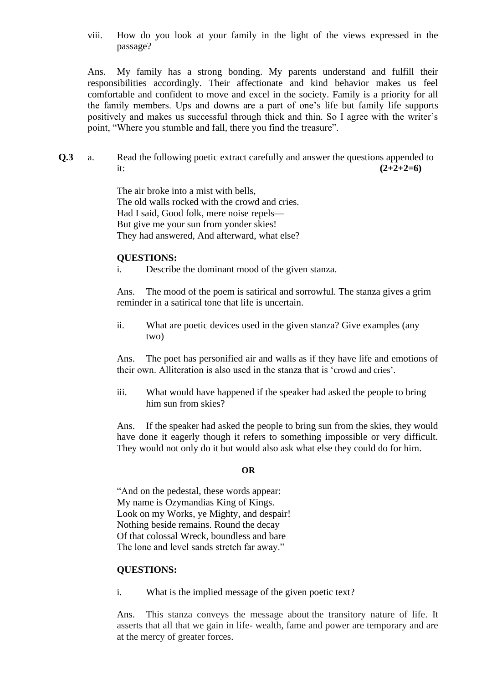viii. How do you look at your family in the light of the views expressed in the passage?

Ans. My family has a strong bonding. My parents understand and fulfill their responsibilities accordingly. Their affectionate and kind behavior makes us feel comfortable and confident to move and excel in the society. Family is a priority for all the family members. Ups and downs are a part of one's life but family life supports positively and makes us successful through thick and thin. So I agree with the writer's point, "Where you stumble and fall, there you find the treasure".

**Q.3** a. Read the following poetic extract carefully and answer the questions appended to it:  $(2+2+2=6)$ 

> The air broke into a mist with bells, The old walls rocked with the crowd and cries. Had I said, Good folk, mere noise repels— But give me your sun from yonder skies! They had answered, And afterward, what else?

#### **QUESTIONS:**

i. Describe the dominant mood of the given stanza.

Ans. The mood of the poem is satirical and sorrowful. The stanza gives a grim reminder in a satirical tone that life is uncertain.

ii. What are poetic devices used in the given stanza? Give examples (any two)

Ans. The poet has personified air and walls as if they have life and emotions of their own. Alliteration is also used in the stanza that is 'crowd and cries'.

iii. What would have happened if the speaker had asked the people to bring him sun from skies?

Ans. If the speaker had asked the people to bring sun from the skies, they would have done it eagerly though it refers to something impossible or very difficult. They would not only do it but would also ask what else they could do for him.

#### **OR**

"And on the pedestal, these words appear: My name is Ozymandias King of Kings. Look on my Works, ye Mighty, and despair! Nothing beside remains. Round the decay Of that colossal Wreck, boundless and bare The lone and level sands stretch far away."

#### **QUESTIONS:**

i. What is the implied message of the given poetic text?

Ans. This stanza conveys the message about the transitory nature of life. It asserts that all that we gain in life- wealth, fame and power are temporary and are at the mercy of greater forces.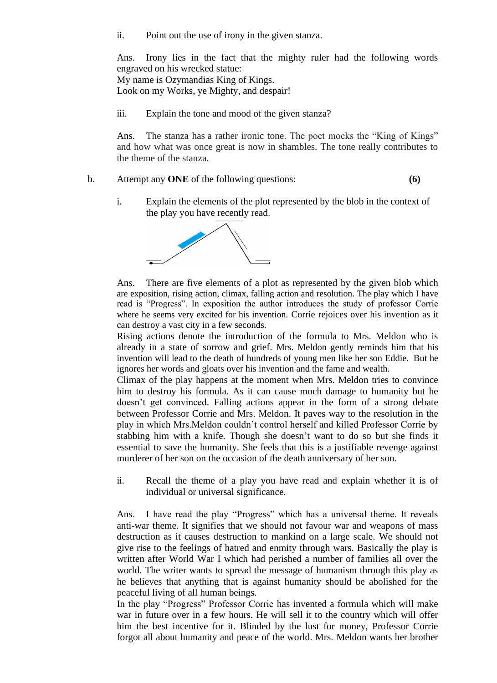ii. Point out the use of irony in the given stanza.

Ans. Irony lies in the fact that the mighty ruler had the following words engraved on his wrecked statue:

My name is Ozymandias King of Kings. Look on my Works, ye Mighty, and despair!

iii. Explain the tone and mood of the given stanza?

Ans. The stanza has a rather ironic tone. The poet mocks the "King of Kings" and how what was once great is now in shambles. The tone really contributes to the theme of the stanza.

- b. Attempt any **ONE** of the following questions: **(6)**
	- i. Explain the elements of the plot represented by the blob in the context of the play you have recently read.



Ans. There are five elements of a plot as represented by the given blob which are exposition, rising action, climax, falling action and resolution. The play which I have read is "Progress". In exposition the author introduces the study of professor Corrie where he seems very excited for his invention. Corrie rejoices over his invention as it can destroy a vast city in a few seconds.

Rising actions denote the introduction of the formula to Mrs. Meldon who is already in a state of sorrow and grief. Mrs. Meldon gently reminds him that his invention will lead to the death of hundreds of young men like her son Eddie. But he ignores her words and gloats over his invention and the fame and wealth.

Climax of the play happens at the moment when Mrs. Meldon tries to convince him to destroy his formula. As it can cause much damage to humanity but he doesn't get convinced. Falling actions appear in the form of a strong debate between Professor Corrie and Mrs. Meldon. It paves way to the resolution in the play in which Mrs.Meldon couldn't control herself and killed Professor Corrie by stabbing him with a knife. Though she doesn't want to do so but she finds it essential to save the humanity. She feels that this is a justifiable revenge against murderer of her son on the occasion of the death anniversary of her son.

ii. Recall the theme of a play you have read and explain whether it is of individual or universal significance.

Ans. I have read the play "Progress" which has a universal theme. It reveals anti-war theme. It signifies that we should not favour war and weapons of mass destruction as it causes destruction to mankind on a large scale. We should not give rise to the feelings of hatred and enmity through wars. Basically the play is written after World War I which had perished a number of families all over the world. The writer wants to spread the message of humanism through this play as he believes that anything that is against humanity should be abolished for the peaceful living of all human beings.

In the play "Progress" Professor Corrie has invented a formula which will make war in future over in a few hours. He will sell it to the country which will offer him the best incentive for it. Blinded by the lust for money, Professor Corrie forgot all about humanity and peace of the world. Mrs. Meldon wants her brother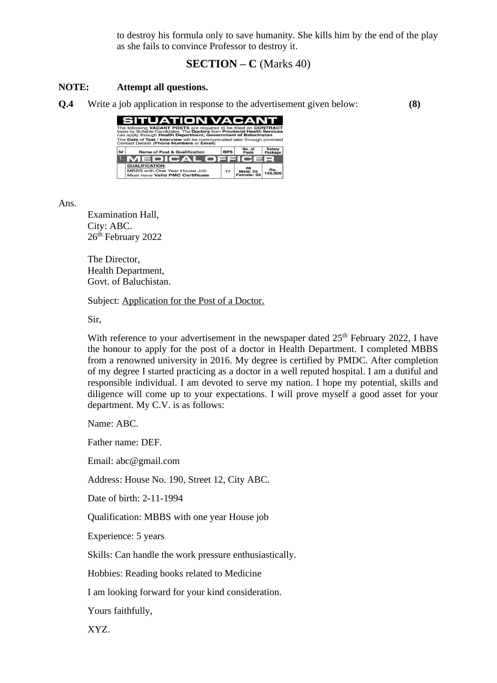to destroy his formula only to save humanity. She kills him by the end of the play as she fails to convince Professor to destroy it.

# **SECTION – C** (Marks 40)

## **NOTE: Attempt all questions.**

**Q.4** Write a job application in response to the advertisement given below: **(8)**



Ans.

Examination Hall, City: ABC. 26<sup>th</sup> February 2022

The Director, Health Department, Govt. of Baluchistan.

Subject: Application for the Post of a Doctor.

Sir,

With reference to your advertisement in the newspaper dated  $25<sup>th</sup>$  February 2022, I have the honour to apply for the post of a doctor in Health Department. I completed MBBS from a renowned university in 2016. My degree is certified by PMDC. After completion of my degree I started practicing as a doctor in a well reputed hospital. I am a dutiful and responsible individual. I am devoted to serve my nation. I hope my potential, skills and diligence will come up to your expectations. I will prove myself a good asset for your department. My C.V. is as follows:

Name: ABC.

Father name: DEF.

Email: abc@gmail.com

Address: House No. 190, Street 12, City ABC.

Date of birth: 2-11-1994

Qualification: MBBS with one year House job

Experience: 5 years

Skills: Can handle the work pressure enthusiastically.

Hobbies: Reading books related to Medicine

I am looking forward for your kind consideration.

Yours faithfully,

XYZ.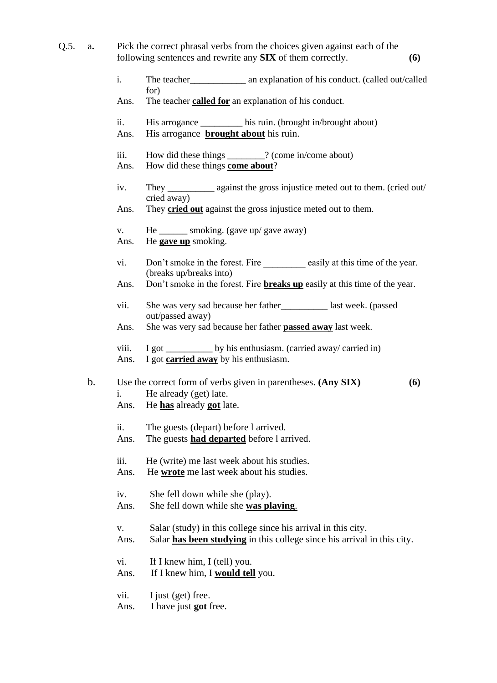- Q.5. a**.** Pick the correct phrasal verbs from the choices given against each of the following sentences and rewrite any **SIX** of them correctly. **(6)**
	- i. The teacher\_\_\_\_\_\_\_\_\_\_\_\_ an explanation of his conduct. (called out/called for)
	- Ans. The teacher **called for** an explanation of his conduct.
	- ii. His arrogance \_\_\_\_\_\_\_\_\_ his ruin. (brought in/brought about)
	- Ans. His arrogance **brought about** his ruin.
	- iii. How did these things \_\_\_\_\_\_\_\_? (come in/come about)
	- Ans. How did these things **come about**?
	- iv. They \_\_\_\_\_\_\_\_\_\_ against the gross injustice meted out to them. (cried out/ cried away)

Ans. They **cried out** against the gross injustice meted out to them.

- v. He \_\_\_\_\_\_\_ smoking. (gave up/ gave away) Ans. He **gave up** smoking.
- vi. Don't smoke in the forest. Fire easily at this time of the year. (breaks up/breaks into)
- Ans. Don't smoke in the forest. Fire **breaks up** easily at this time of the year.
- vii. She was very sad because her father\_\_\_\_\_\_\_\_\_\_ last week. (passed out/passed away)
- Ans. She was very sad because her father **passed away** last week.
- viii. I got \_\_\_\_\_\_\_\_\_\_\_\_ by his enthusiasm. (carried away/ carried in) Ans. I got **carried away** by his enthusiasm.
- b. Use the correct form of verbs given in parentheses. **(Any SIX) (6)** i. He already (get) late. Ans. He **has** already **got** late.
	- ii. The guests (depart) before l arrived.
	- Ans. The guests **had departed** before l arrived.
	- iii. He (write) me last week about his studies. Ans. He **wrote** me last week about his studies.
	- iv. She fell down while she (play).
	- Ans. She fell down while she **was playing**.
	- v. Salar (study) in this college since his arrival in this city.
	- Ans. Salar **has been studying** in this college since his arrival in this city.
	- vi. If I knew him, I (tell) you.
	- Ans. If I knew him, I **would tell** you.
	- vii. I just (get) free.
	- Ans. I have just **got** free.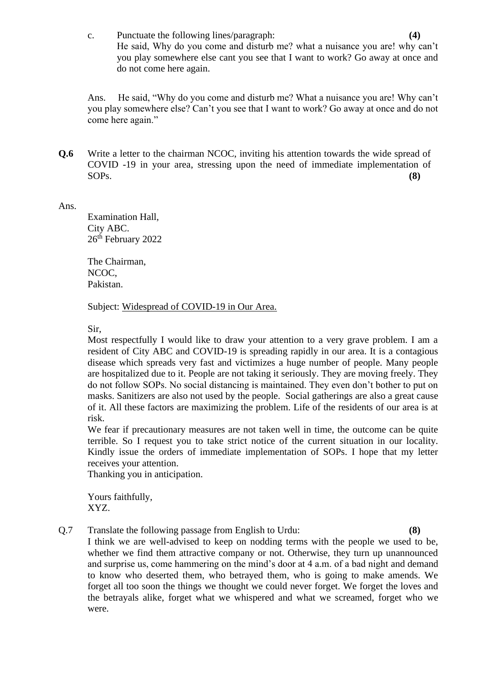c. Punctuate the following lines/paragraph: **(4)** He said, Why do you come and disturb me? what a nuisance you are! why can't you play somewhere else cant you see that I want to work? Go away at once and do not come here again.

Ans. He said, "Why do you come and disturb me? What a nuisance you are! Why can't you play somewhere else? Can't you see that I want to work? Go away at once and do not come here again."

**Q.6** Write a letter to the chairman NCOC, inviting his attention towards the wide spread of COVID -19 in your area, stressing upon the need of immediate implementation of SOPs. **(8)**

Ans.

Examination Hall, City ABC. 26<sup>th</sup> February 2022

The Chairman, NCOC, Pakistan.

Subject: Widespread of COVID-19 in Our Area.

Sir,

Most respectfully I would like to draw your attention to a very grave problem. I am a resident of City ABC and COVID-19 is spreading rapidly in our area. It is a contagious disease which spreads very fast and victimizes a huge number of people. Many people are hospitalized due to it. People are not taking it seriously. They are moving freely. They do not follow SOPs. No social distancing is maintained. They even don't bother to put on masks. Sanitizers are also not used by the people. Social gatherings are also a great cause of it. All these factors are maximizing the problem. Life of the residents of our area is at risk.

We fear if precautionary measures are not taken well in time, the outcome can be quite terrible. So I request you to take strict notice of the current situation in our locality. Kindly issue the orders of immediate implementation of SOPs. I hope that my letter receives your attention.

Thanking you in anticipation.

Yours faithfully, XYZ.

Q.7 Translate the following passage from English to Urdu: **(8)**

I think we are well-advised to keep on nodding terms with the people we used to be, whether we find them attractive company or not. Otherwise, they turn up unannounced and surprise us, come hammering on the mind's door at 4 a.m. of a bad night and demand to know who deserted them, who betrayed them, who is going to make amends. We forget all too soon the things we thought we could never forget. We forget the loves and the betrayals alike, forget what we whispered and what we screamed, forget who we were.